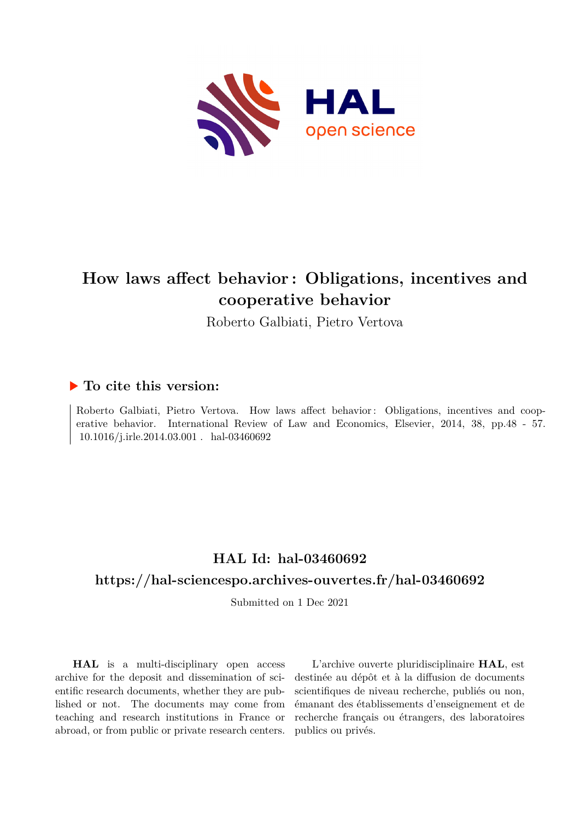

# **How laws affect behavior : Obligations, incentives and cooperative behavior**

Roberto Galbiati, Pietro Vertova

## **To cite this version:**

Roberto Galbiati, Pietro Vertova. How laws affect behavior: Obligations, incentives and cooperative behavior. International Review of Law and Economics, Elsevier, 2014, 38, pp.48 - 57. 10.1016/j.irle.2014.03.001. hal-03460692

## **HAL Id: hal-03460692**

## **<https://hal-sciencespo.archives-ouvertes.fr/hal-03460692>**

Submitted on 1 Dec 2021

**HAL** is a multi-disciplinary open access archive for the deposit and dissemination of scientific research documents, whether they are published or not. The documents may come from teaching and research institutions in France or abroad, or from public or private research centers.

L'archive ouverte pluridisciplinaire **HAL**, est destinée au dépôt et à la diffusion de documents scientifiques de niveau recherche, publiés ou non, émanant des établissements d'enseignement et de recherche français ou étrangers, des laboratoires publics ou privés.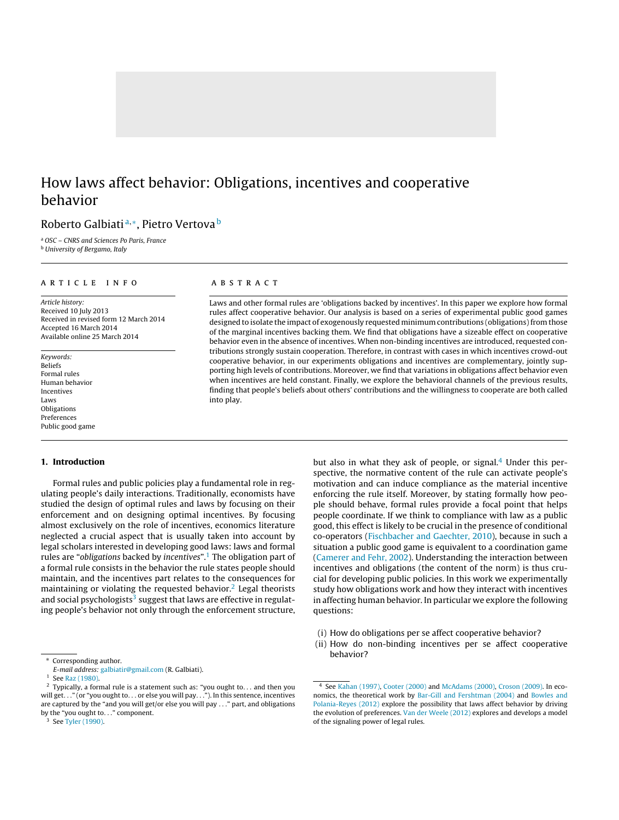## How laws affect behavior: Obligations, incentives and cooperative behavior

## Roberto Galbiati<sup>a,∗</sup>, Pietro Vertova<sup>b</sup>

<sup>a</sup> OSC – CNRS and Sciences Po Paris, France

**b** University of Bergamo, Italy

## a r t i c l e i n f o

Article history: Received 10 July 2013 Received in revised form 12 March 2014 Accepted 16 March 2014 Available online 25 March 2014

Keywords: Beliefs Formal rules Human behavior Incentives Laws **Obligations** Preferences Public good game

### **1. Introduction**

Formal rules and public policies play a fundamental role in regulating people's daily interactions. Traditionally, economists have studied the design of optimal rules and laws by focusing on their enforcement and on designing optimal incentives. By focusing almost exclusively on the role of incentives, economics literature neglected a crucial aspect that is usually taken into account by legal scholars interested in developing good laws: laws and formal rules are "*obligations* backed by *incentives*".<sup>1</sup> The obligation part of a formal rule consists in the behavior the rule states people should maintain, and the incentives part relates to the consequences for maintaining or violating the requested behavior.<sup>2</sup> Legal theorists and social psychologists $3$  suggest that laws are effective in regulating people's behavior not only through the enforcement structure,

#### A B S T R A C T

Laws and other formal rules are 'obligations backed by incentives'. In this paper we explore how formal rules affect cooperative behavior. Our analysis is based on a series of experimental public good games designed to isolate the impact of exogenously requested minimum contributions (obligations) from those of the marginal incentives backing them. We find that obligations have a sizeable effect on cooperative behavior even in the absence of incentives. When non-binding incentives are introduced, requested contributions strongly sustain cooperation. Therefore, in contrast with cases in which incentives crowd-out cooperative behavior, in our experiments obligations and incentives are complementary, jointly supporting high levels of contributions. Moreover, we find that variations in obligations affect behavior even when incentives are held constant. Finally, we explore the behavioral channels of the previous results, finding that people's beliefs about others' contributions and the willingness to cooperate are both called into play.

> but also in what they ask of people, or signal.<sup>4</sup> Under this perspective, the normative content of the rule can activate people's motivation and can induce compliance as the material incentive enforcing the rule itself. Moreover, by stating formally how people should behave, formal rules provide a focal point that helps people coordinate. If we think to compliance with law as a public good, this effect is likely to be crucial in the presence of conditional co-operators (Fischbacher and Gaechter, 2010), because in such a situation a public good game is equivalent to a coordination game (Camerer and Fehr, 2002). Understanding the interaction between incentives and obligations (the content of the norm) is thus crucial for developing public policies. In this work we experimentally study how obligations work and how they interact with incentives in affecting human behavior. In particular we explore the following questions:

- (i) How do obligations per se affect cooperative behavior?
- (ii) How do non-binding incentives per se affect cooperative behavior?

<sup>∗</sup> Corresponding author.

E-mail address: [galbiatir@gmail.com](mailto:galbiatir@gmail.com) (R. Galbiati).

See Raz (1980).

<sup>&</sup>lt;sup>2</sup> Typically, a formal rule is a statement such as: "you ought to... and then you will get..." (or "you ought to... or else you will pay..."). In this sentence, incentives are captured by the "and you will get/or else you will pay . . ." part, and obligations by the "you ought to..." component.<br><sup>3</sup> See Tyler (1990).

<sup>4</sup> See Kahan (1997), Cooter (2000) and McAdams (2000), Croson (2009). In economics, the theoretical work by Bar-Gill and Fershtman (2004) and Bowles and Polania-Reyes (2012) explore the possibility that laws affect behavior by driving the evolution of preferences. Van der Weele (2012) explores and develops a model of the signaling power of legal rules.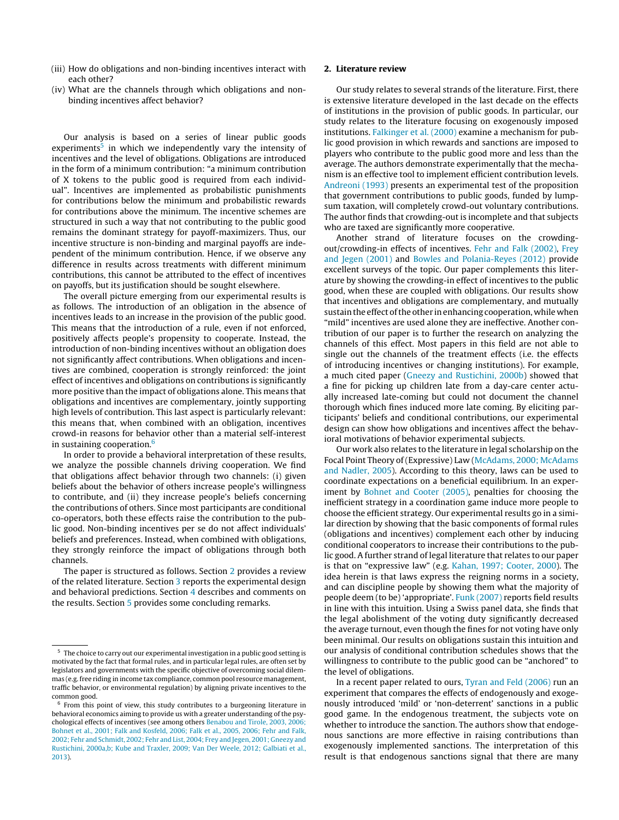- (iii) How do obligations and non-binding incentives interact with each other?
- (iv) What are the channels through which obligations and nonbinding incentives affect behavior?

Our analysis is based on a series of linear public goods experiments<sup>5</sup> in which we independently vary the intensity of incentives and the level of obligations. Obligations are introduced in the form of a minimum contribution: "a minimum contribution of X tokens to the public good is required from each individual". Incentives are implemented as probabilistic punishments for contributions below the minimum and probabilistic rewards for contributions above the minimum. The incentive schemes are structured in such a way that not contributing to the public good remains the dominant strategy for payoff-maximizers. Thus, our incentive structure is non-binding and marginal payoffs are independent of the minimum contribution. Hence, if we observe any difference in results across treatments with different minimum contributions, this cannot be attributed to the effect of incentives on payoffs, but its justification should be sought elsewhere.

The overall picture emerging from our experimental results is as follows. The introduction of an obligation in the absence of incentives leads to an increase in the provision of the public good. This means that the introduction of a rule, even if not enforced, positively affects people's propensity to cooperate. Instead, the introduction of non-binding incentives without an obligation does not significantly affect contributions. When obligations and incentives are combined, cooperation is strongly reinforced: the joint effect of incentives and obligations on contributions is significantly more positive than the impact of obligations alone. This means that obligations and incentives are complementary, jointly supporting high levels of contribution. This last aspect is particularly relevant: this means that, when combined with an obligation, incentives crowd-in reasons for behavior other than a material self-interest in sustaining cooperation.<sup>6</sup>

In order to provide a behavioral interpretation of these results, we analyze the possible channels driving cooperation. We find that obligations affect behavior through two channels: (i) given beliefs about the behavior of others increase people's willingness to contribute, and (ii) they increase people's beliefs concerning the contributions of others. Since most participants are conditional co-operators, both these effects raise the contribution to the public good. Non-binding incentives per se do not affect individuals' beliefs and preferences. Instead, when combined with obligations, they strongly reinforce the impact of obligations through both channels.

The paper is structured as follows. Section 2 provides a review of the related literature. Section 3 reports the experimental design and behavioral predictions. Section 4 describes and comments on the results. Section 5 provides some concluding remarks.

#### **2. Literature review**

Our study relates to several strands of the literature. First, there is extensive literature developed in the last decade on the effects of institutions in the provision of public goods. In particular, our study relates to the literature focusing on exogenously imposed institutions. Falkinger et al. (2000) examine a mechanism for public good provision in which rewards and sanctions are imposed to players who contribute to the public good more and less than the average. The authors demonstrate experimentally that the mechanism is an effective tool to implement efficient contribution levels. Andreoni (1993) presents an experimental test of the proposition that government contributions to public goods, funded by lumpsum taxation, will completely crowd-out voluntary contributions. The author finds that crowding-out is incomplete and that subjects who are taxed are significantly more cooperative.

Another strand of literature focuses on the crowdingout/crowding-in effects of incentives. Fehr and Falk (2002), Frey and Jegen (2001) and Bowles and Polania-Reyes (2012) provide excellent surveys of the topic. Our paper complements this literature by showing the crowding-in effect of incentives to the public good, when these are coupled with obligations. Our results show that incentives and obligations are complementary, and mutually sustain the effect of the other in enhancing cooperation, while when "mild" incentives are used alone they are ineffective. Another contribution of our paper is to further the research on analyzing the channels of this effect. Most papers in this field are not able to single out the channels of the treatment effects (i.e. the effects of introducing incentives or changing institutions). For example, a much cited paper (Gneezy and Rustichini, 2000b) showed that a fine for picking up children late from a day-care center actually increased late-coming but could not document the channel thorough which fines induced more late coming. By eliciting participants' beliefs and conditional contributions, our experimental design can show how obligations and incentives affect the behavioral motivations of behavior experimental subjects.

Our work also relates to the literature in legal scholarship on the Focal Point Theory of (Expressive) Law (McAdams, 2000; McAdams and Nadler, 2005). According to this theory, laws can be used to coordinate expectations on a beneficial equilibrium. In an experiment by Bohnet and Cooter (2005), penalties for choosing the inefficient strategy in a coordination game induce more people to choose the efficient strategy. Our experimental results go in a similar direction by showing that the basic components of formal rules (obligations and incentives) complement each other by inducing conditional cooperators to increase their contributions to the public good. A further strand of legal literature that relates to our paper is that on "expressive law" (e.g. Kahan, 1997; Cooter, 2000). The idea herein is that laws express the reigning norms in a society, and can discipline people by showing them what the majority of people deem (to be) 'appropriate'. Funk (2007) reports field results in line with this intuition. Using a Swiss panel data, she finds that the legal abolishment of the voting duty significantly decreased the average turnout, even though the fines for not voting have only been minimal. Our results on obligations sustain this intuition and our analysis of conditional contribution schedules shows that the willingness to contribute to the public good can be "anchored" to the level of obligations.

In a recent paper related to ours, Tyran and Feld (2006) run an experiment that compares the effects of endogenously and exogenously introduced 'mild' or 'non-deterrent' sanctions in a public good game. In the endogenous treatment, the subjects vote on whether to introduce the sanction. The authors show that endogenous sanctions are more effective in raising contributions than exogenously implemented sanctions. The interpretation of this result is that endogenous sanctions signal that there are many

 $^{\rm 5}$  The choice to carry out our experimental investigation in a public good setting is motivated by the fact that formal rules, and in particular legal rules, are often set by legislators and governments with the specific objective of overcoming social dilemmas (e.g. free riding in income tax compliance, common pool resource management, traffic behavior, or environmental regulation) by aligning private incentives to the common good.

<sup>6</sup> From this point of view, this study contributes to a burgeoning literature in behavioral economics aiming to provide us with a greater understanding of the psychological effects of incentives (see among others Benabou and Tirole, 2003, 2006; Bohnet et al., 2001; Falk and Kosfeld, 2006; Falk et al., 2005, 2006; Fehr and Falk, 2002; Fehr and Schmidt, 2002; Fehr and List, 2004; Frey and Jegen, 2001; Gneezy and Rustichini, 2000a,b; Kube and Traxler, 2009; Van Der Weele, 2012; Galbiati et al., 2013).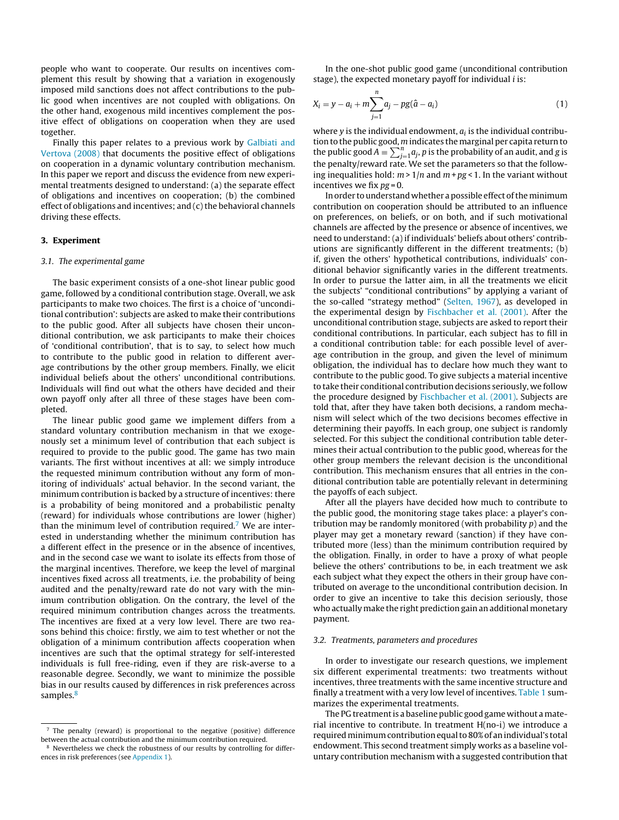people who want to cooperate. Our results on incentives complement this result by showing that a variation in exogenously imposed mild sanctions does not affect contributions to the public good when incentives are not coupled with obligations. On the other hand, exogenous mild incentives complement the positive effect of obligations on cooperation when they are used together.

Finally this paper relates to a previous work by Galbiati and Vertova (2008) that documents the positive effect of obligations on cooperation in a dynamic voluntary contribution mechanism. In this paper we report and discuss the evidence from new experimental treatments designed to understand: (a) the separate effect of obligations and incentives on cooperation; (b) the combined effect of obligations and incentives; and (c) the behavioral channels driving these effects.

## **3. Experiment**

#### 3.1. The experimental game

The basic experiment consists of a one-shot linear public good game, followed by a conditional contribution stage. Overall, we ask participants to make two choices. The first is a choice of 'unconditional contribution': subjects are asked to make their contributions to the public good. After all subjects have chosen their unconditional contribution, we ask participants to make their choices of 'conditional contribution', that is to say, to select how much to contribute to the public good in relation to different average contributions by the other group members. Finally, we elicit individual beliefs about the others' unconditional contributions. Individuals will find out what the others have decided and their own payoff only after all three of these stages have been completed.

The linear public good game we implement differs from a standard voluntary contribution mechanism in that we exogenously set a minimum level of contribution that each subject is required to provide to the public good. The game has two main variants. The first without incentives at all: we simply introduce the requested minimum contribution without any form of monitoring of individuals' actual behavior. In the second variant, the minimum contribution is backed by a structure of incentives: there is a probability of being monitored and a probabilistic penalty (reward) for individuals whose contributions are lower (higher) than the minimum level of contribution required.<sup>7</sup> We are interested in understanding whether the minimum contribution has a different effect in the presence or in the absence of incentives, and in the second case we want to isolate its effects from those of the marginal incentives. Therefore, we keep the level of marginal incentives fixed across all treatments, i.e. the probability of being audited and the penalty/reward rate do not vary with the minimum contribution obligation. On the contrary, the level of the required minimum contribution changes across the treatments. The incentives are fixed at a very low level. There are two reasons behind this choice: firstly, we aim to test whether or not the obligation of a minimum contribution affects cooperation when incentives are such that the optimal strategy for self-interested individuals is full free-riding, even if they are risk-averse to a reasonable degree. Secondly, we want to minimize the possible bias in our results caused by differences in risk preferences across samples.<sup>8</sup>

In the one-shot public good game (unconditional contribution stage), the expected monetary payoff for individual i is:

$$
X_i = y - a_i + m \sum_{j=1}^{n} a_j - pg(\hat{a} - a_i)
$$
 (1)

where y is the individual endowment,  $a_i$  is the individual contribution to the public good, m indicates the marginal per capita return to the public good  $A \equiv \sum_{j=1}^{n} a_j$ , p is the probability of an audit, and g is<br>the penalty/reward rate. We set the parameters so that the follow the penalty/reward rate. We set the parameters so that the following inequalities hold:  $m > 1/n$  and  $m + pg < 1$ . In the variant without incentives we fix  $pg = 0$ .

In order to understand whether a possible effect of the minimum contribution on cooperation should be attributed to an influence on preferences, on beliefs, or on both, and if such motivational channels are affected by the presence or absence of incentives, we need to understand: (a) if individuals' beliefs about others' contributions are significantly different in the different treatments; (b) if, given the others' hypothetical contributions, individuals' conditional behavior significantly varies in the different treatments. In order to pursue the latter aim, in all the treatments we elicit the subjects' "conditional contributions" by applying a variant of the so-called "strategy method" (Selten, 1967), as developed in the experimental design by Fischbacher et al. (2001). After the unconditional contribution stage, subjects are asked to report their conditional contributions. In particular, each subject has to fill in a conditional contribution table: for each possible level of average contribution in the group, and given the level of minimum obligation, the individual has to declare how much they want to contribute to the public good. To give subjects a material incentive to take their conditional contribution decisions seriously, we follow the procedure designed by Fischbacher et al. (2001). Subjects are told that, after they have taken both decisions, a random mechanism will select which of the two decisions becomes effective in determining their payoffs. In each group, one subject is randomly selected. For this subject the conditional contribution table determines their actual contribution to the public good, whereas for the other group members the relevant decision is the unconditional contribution. This mechanism ensures that all entries in the conditional contribution table are potentially relevant in determining the payoffs of each subject.

After all the players have decided how much to contribute to the public good, the monitoring stage takes place: a player's contribution may be randomly monitored (with probability  $p$ ) and the player may get a monetary reward (sanction) if they have contributed more (less) than the minimum contribution required by the obligation. Finally, in order to have a proxy of what people believe the others' contributions to be, in each treatment we ask each subject what they expect the others in their group have contributed on average to the unconditional contribution decision. In order to give an incentive to take this decision seriously, those who actually make the right prediction gain an additional monetary payment.

## 3.2. Treatments, parameters and procedures

In order to investigate our research questions, we implement six different experimental treatments: two treatments without incentives, three treatments with the same incentive structure and finally a treatment with a very low level of incentives. Table 1 summarizes the experimental treatments.

The PG treatment is a baseline public good game without amaterial incentive to contribute. In treatment H(no-i) we introduce a requiredminimum contribution equal to 80% of an individual's total endowment. This second treatment simply works as a baseline voluntary contribution mechanism with a suggested contribution that

 $7$  The penalty (reward) is proportional to the negative (positive) difference between the actual contribution and the minimum contribution required.

<sup>8</sup> Nevertheless we check the robustness of our results by controlling for differences in risk preferences (see Appendix 1).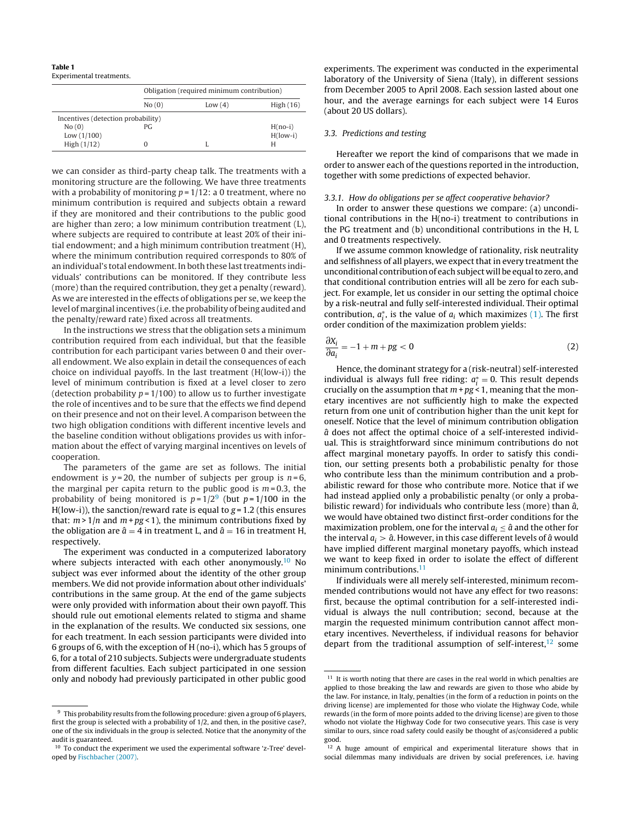**Table 1** Experimental treatments.

|                                    | Obligation (required minimum contribution) |           |            |
|------------------------------------|--------------------------------------------|-----------|------------|
|                                    | No(0)                                      | Low $(4)$ | High(16)   |
| Incentives (detection probability) |                                            |           |            |
| No(0)                              | PG.                                        |           | $H(no-i)$  |
| Low (1/100)                        |                                            |           | $H(low-i)$ |
| High(1/12)                         | 0                                          |           | Н          |

we can consider as third-party cheap talk. The treatments with a monitoring structure are the following. We have three treatments with a probability of monitoring  $p = 1/12$ : a 0 treatment, where no minimum contribution is required and subjects obtain a reward if they are monitored and their contributions to the public good are higher than zero; a low minimum contribution treatment (L), where subjects are required to contribute at least 20% of their initial endowment; and a high minimum contribution treatment (H), where the minimum contribution required corresponds to 80% of an individual's total endowment. In both these last treatments individuals' contributions can be monitored. If they contribute less (more) than the required contribution, they get a penalty (reward). As we are interested in the effects of obligations per se, we keep the level ofmarginal incentives (i.e. the probability of being audited and the penalty/reward rate) fixed across all treatments.

In the instructions we stress that the obligation sets a minimum contribution required from each individual, but that the feasible contribution for each participant varies between 0 and their overall endowment. We also explain in detail the consequences of each choice on individual payoffs. In the last treatment (H(low-i)) the level of minimum contribution is fixed at a level closer to zero (detection probability  $p = 1/100$ ) to allow us to further investigate the role of incentives and to be sure that the effects we find depend on their presence and not on their level. A comparison between the two high obligation conditions with different incentive levels and the baseline condition without obligations provides us with information about the effect of varying marginal incentives on levels of cooperation.

The parameters of the game are set as follows. The initial endowment is  $y = 20$ , the number of subjects per group is  $n = 6$ , the marginal per capita return to the public good is  $m = 0.3$ , the probability of being monitored is  $p = 1/2^9$  (but  $p = 1/100$  in the H(low-i)), the sanction/reward rate is equal to  $g = 1.2$  (this ensures that:  $m > 1/n$  and  $m + pg < 1$ ), the minimum contributions fixed by the obligation are  $\hat{a} = 4$  in treatment L, and  $\hat{a} = 16$  in treatment H, respectively.

The experiment was conducted in a computerized laboratory where subjects interacted with each other anonymously.<sup>10</sup> No subject was ever informed about the identity of the other group members. We did not provide information about other individuals' contributions in the same group. At the end of the game subjects were only provided with information about their own payoff. This should rule out emotional elements related to stigma and shame in the explanation of the results. We conducted six sessions, one for each treatment. In each session participants were divided into 6 groups of 6, with the exception of H (no-i), which has 5 groups of 6, for a total of 210 subjects. Subjects were undergraduate students from different faculties. Each subject participated in one session only and nobody had previously participated in other public good experiments. The experiment was conducted in the experimental laboratory of the University of Siena (Italy), in different sessions from December 2005 to April 2008. Each session lasted about one hour, and the average earnings for each subject were 14 Euros (about 20 US dollars).

## 3.3. Predictions and testing

Hereafter we report the kind of comparisons that we made in order to answer each of the questions reported in the introduction, together with some predictions of expected behavior.

#### 3.3.1. How do obligations per se affect cooperative behavior?

In order to answer these questions we compare: (a) unconditional contributions in the H(no-i) treatment to contributions in the PG treatment and (b) unconditional contributions in the H, L and 0 treatments respectively.

If we assume common knowledge of rationality, risk neutrality and selfishness of all players, we expect that in every treatment the unconditional contribution of each subject will be equal to zero, and that conditional contribution entries will all be zero for each subject. For example, let us consider in our setting the optimal choice by a risk-neutral and fully self-interested individual. Their optimal contribution,  $a_i^*$ , is the value of  $a_i$  which maximizes (1). The first order condition of the maximization problem vields: order condition of the maximization problem yields:

$$
\frac{\partial X_i}{\partial a_i} = -1 + m + pg < 0\tag{2}
$$

Hence, the dominant strategy for a (risk-neutral) self-interested individual is always full free riding:  $a_i^* = 0$ . This result depends rundially on the assumption that  $m + n\sigma < 1$  meaning that the moncrucially on the assumption that  $m + pg < 1$ , meaning that the monetary incentives are not sufficiently high to make the expected return from one unit of contribution higher than the unit kept for oneself. Notice that the level of minimum contribution obligation  $\hat{a}$  does not affect the optimal choice of a self-interested individual. This is straightforward since minimum contributions do not affect marginal monetary payoffs. In order to satisfy this condition, our setting presents both a probabilistic penalty for those who contribute less than the minimum contribution and a probabilistic reward for those who contribute more. Notice that if we had instead applied only a probabilistic penalty (or only a probabilistic reward) for individuals who contribute less (more) than  $\hat{a}$ , we would have obtained two distinct first-order conditions for the maximization problem, one for the interval  $a_i \leq \hat{a}$  and the other for the interval  $a_i > \hat{a}$ . However, in this case different levels of  $\hat{a}$  would have implied different marginal monetary payoffs, which instead we want to keep fixed in order to isolate the effect of different minimum contributions.<sup>11</sup>

If individuals were all merely self-interested, minimum recommended contributions would not have any effect for two reasons: first, because the optimal contribution for a self-interested individual is always the null contribution; second, because at the margin the requested minimum contribution cannot affect monetary incentives. Nevertheless, if individual reasons for behavior depart from the traditional assumption of self-interest, $12$  some

<sup>9</sup> This probability results from the following procedure: given a group of 6 players, first the group is selected with a probability of 1/2, and then, in the positive case?, one of the six individuals in the group is selected. Notice that the anonymity of the audit is guaranteed.

<sup>&</sup>lt;sup>10</sup> To conduct the experiment we used the experimental software 'z-Tree' developed by Fischbacher (2007).

 $11$  It is worth noting that there are cases in the real world in which penalties are applied to those breaking the law and rewards are given to those who abide by the law. For instance, in Italy, penalties (in the form of a reduction in points on the driving license) are implemented for those who violate the Highway Code, while rewards (in the form of more points added to the driving license) are given to those whodo not violate the Highway Code for two consecutive years. This case is very similar to ours, since road safety could easily be thought of as/considered a public good.

 $12$  A huge amount of empirical and experimental literature shows that in social dilemmas many individuals are driven by social preferences, i.e. having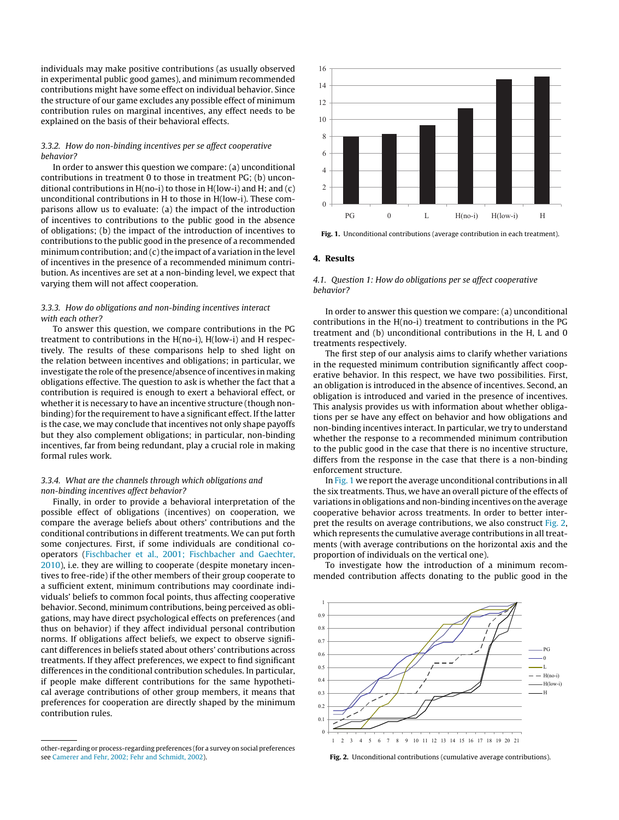individuals may make positive contributions (as usually observed in experimental public good games), and minimum recommended contributions might have some effect on individual behavior. Since the structure of our game excludes any possible effect of minimum contribution rules on marginal incentives, any effect needs to be explained on the basis of their behavioral effects.

## 3.3.2. How do non-binding incentives per se affect cooperative behavior?

In order to answer this question we compare: (a) unconditional contributions in treatment 0 to those in treatment PG; (b) unconditional contributions in  $H(no-i)$  to those in  $H(low-i)$  and  $H$ ; and  $(c)$ unconditional contributions in H to those in H(low-i). These comparisons allow us to evaluate: (a) the impact of the introduction of incentives to contributions to the public good in the absence of obligations; (b) the impact of the introduction of incentives to contributions to the public good in the presence of a recommended minimum contribution; and (c) the impact of a variation in the level of incentives in the presence of a recommended minimum contribution. As incentives are set at a non-binding level, we expect that varying them will not affect cooperation.

### 3.3.3. How do obligations and non-binding incentives interact with each other?

To answer this question, we compare contributions in the PG treatment to contributions in the H(no-i), H(low-i) and H respectively. The results of these comparisons help to shed light on the relation between incentives and obligations; in particular, we investigate the role of the presence/absence of incentives in making obligations effective. The question to ask is whether the fact that a contribution is required is enough to exert a behavioral effect, or whether it is necessary to have an incentive structure (though nonbinding) for the requirement to have a significant effect. If the latter is the case, we may conclude that incentives not only shape payoffs but they also complement obligations; in particular, non-binding incentives, far from being redundant, play a crucial role in making formal rules work.

## 3.3.4. What are the channels through which obligations and non-binding incentives affect behavior?

Finally, in order to provide a behavioral interpretation of the possible effect of obligations (incentives) on cooperation, we compare the average beliefs about others' contributions and the conditional contributions in different treatments. We can put forth some conjectures. First, if some individuals are conditional cooperators (Fischbacher et al., 2001; Fischbacher and Gaechter, 2010), i.e. they are willing to cooperate (despite monetary incentives to free-ride) if the other members of their group cooperate to a sufficient extent, minimum contributions may coordinate individuals' beliefs to common focal points, thus affecting cooperative behavior. Second, minimum contributions, being perceived as obligations, may have direct psychological effects on preferences (and thus on behavior) if they affect individual personal contribution norms. If obligations affect beliefs, we expect to observe significant differences in beliefs stated about others' contributions across treatments. If they affect preferences, we expect to find significant differences in the conditional contribution schedules. In particular, if people make different contributions for the same hypothetical average contributions of other group members, it means that preferences for cooperation are directly shaped by the minimum contribution rules.



**Fig. 1.** Unconditional contributions (average contribution in each treatment).

#### **4. Results**

## 4.1. Question 1: How do obligations per se affect cooperative behavior?

In order to answer this question we compare: (a) unconditional contributions in the H(no-i) treatment to contributions in the PG treatment and (b) unconditional contributions in the H, L and 0 treatments respectively.

The first step of our analysis aims to clarify whether variations in the requested minimum contribution significantly affect cooperative behavior. In this respect, we have two possibilities. First, an obligation is introduced in the absence of incentives. Second, an obligation is introduced and varied in the presence of incentives. This analysis provides us with information about whether obligations per se have any effect on behavior and how obligations and non-binding incentives interact. In particular, we try to understand whether the response to a recommended minimum contribution to the public good in the case that there is no incentive structure, differs from the response in the case that there is a non-binding enforcement structure.

In Fig. 1 we report the average unconditional contributions in all the six treatments. Thus, we have an overall picture of the effects of variations in obligations and non-binding incentives on the average cooperative behavior across treatments. In order to better interpret the results on average contributions, we also construct Fig. 2, which represents the cumulative average contributions in all treatments (with average contributions on the horizontal axis and the proportion of individuals on the vertical one).

To investigate how the introduction of a minimum recommended contribution affects donating to the public good in the



**Fig. 2.** Unconditional contributions (cumulative average contributions).

other-regarding or process-regarding preferences (for a survey on social preferences see Camerer and Fehr, 2002; Fehr and Schmidt, 2002).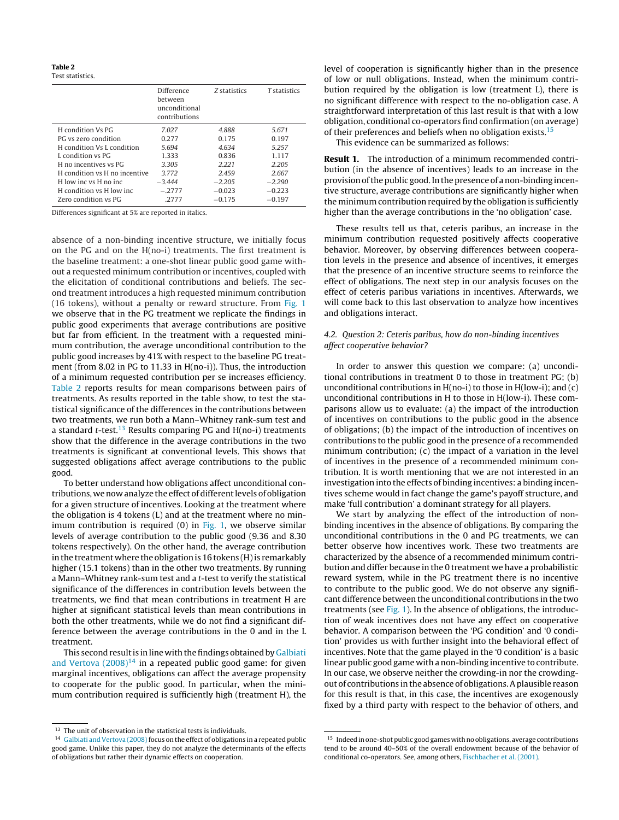**Table 2** Test statistics.

| Difference<br>hetween<br>unconditional<br>contributions | Z statistics | T statistics |
|---------------------------------------------------------|--------------|--------------|
| 7.027                                                   | 4.888        | 5.671        |
| 0.277                                                   | 0.175        | 0.197        |
| 5.694                                                   | 4.634        | 5257         |
| 1.333                                                   | 0.836        | 1.117        |
| 3.305                                                   | 2.221        | 2.205        |
| 3.772                                                   | 2.459        | 2.667        |
| $-3.444$                                                | $-2.205$     | $-2.290$     |
| $-.2777$                                                | $-0.023$     | $-0.223$     |
| .2777                                                   | $-0.175$     | $-0.197$     |
|                                                         |              |              |

Differences significant at 5% are reported in italics.

absence of a non-binding incentive structure, we initially focus on the PG and on the H(no-i) treatments. The first treatment is the baseline treatment: a one-shot linear public good game without a requested minimum contribution or incentives, coupled with the elicitation of conditional contributions and beliefs. The second treatment introduces a high requested minimum contribution (16 tokens), without a penalty or reward structure. From Fig. 1 we observe that in the PG treatment we replicate the findings in public good experiments that average contributions are positive but far from efficient. In the treatment with a requested minimum contribution, the average unconditional contribution to the public good increases by 41% with respect to the baseline PG treatment (from 8.02 in PG to 11.33 in H(no-i)). Thus, the introduction of a minimum requested contribution per se increases efficiency. Table 2 reports results for mean comparisons between pairs of treatments. As results reported in the table show, to test the statistical significance of the differences in the contributions between two treatments, we run both a Mann–Whitney rank-sum test and a standard *t*-test.<sup>13</sup> Results comparing PG and  $H(no-i)$  treatments show that the difference in the average contributions in the two treatments is significant at conventional levels. This shows that suggested obligations affect average contributions to the public good.

To better understand how obligations affect unconditional contributions, we now analyze the effect of different levels of obligation for a given structure of incentives. Looking at the treatment where the obligation is 4 tokens (L) and at the treatment where no minimum contribution is required  $(0)$  in Fig. 1, we observe similar levels of average contribution to the public good (9.36 and 8.30 tokens respectively). On the other hand, the average contribution in the treatment where the obligation is 16 tokens (H) is remarkably higher (15.1 tokens) than in the other two treatments. By running a Mann–Whitney rank-sum test and a t-test to verify the statistical significance of the differences in contribution levels between the treatments, we find that mean contributions in treatment H are higher at significant statistical levels than mean contributions in both the other treatments, while we do not find a significant difference between the average contributions in the 0 and in the L treatment.

This second result is in line with the findings obtained by Galbiati and Vertova  $(2008)^{14}$  in a repeated public good game: for given marginal incentives, obligations can affect the average propensity to cooperate for the public good. In particular, when the minimum contribution required is sufficiently high (treatment H), the level of cooperation is significantly higher than in the presence of low or null obligations. Instead, when the minimum contribution required by the obligation is low (treatment L), there is no significant difference with respect to the no-obligation case. A straightforward interpretation of this last result is that with a low obligation, conditional co-operators find confirmation (on average) of their preferences and beliefs when no obligation exists.<sup>15</sup>

This evidence can be summarized as follows:

**Result 1.** The introduction of a minimum recommended contribution (in the absence of incentives) leads to an increase in the provision of the public good. In the presence of a non-binding incentive structure, average contributions are significantly higher when the minimum contribution required by the obligation is sufficiently higher than the average contributions in the 'no obligation' case.

These results tell us that, ceteris paribus, an increase in the minimum contribution requested positively affects cooperative behavior. Moreover, by observing differences between cooperation levels in the presence and absence of incentives, it emerges that the presence of an incentive structure seems to reinforce the effect of obligations. The next step in our analysis focuses on the effect of ceteris paribus variations in incentives. Afterwards, we will come back to this last observation to analyze how incentives and obligations interact.

## 4.2. Question 2: Ceteris paribus, how do non-binding incentives affect cooperative behavior?

In order to answer this question we compare: (a) unconditional contributions in treatment 0 to those in treatment PG; (b) unconditional contributions in  $H(no-i)$  to those in  $H(low-i)$ ; and  $(c)$ unconditional contributions in H to those in H(low-i). These comparisons allow us to evaluate: (a) the impact of the introduction of incentives on contributions to the public good in the absence of obligations; (b) the impact of the introduction of incentives on contributions to the public good in the presence of a recommended minimum contribution; (c) the impact of a variation in the level of incentives in the presence of a recommended minimum contribution. It is worth mentioning that we are not interested in an investigation into the effects of binding incentives: a binding incentives scheme would in fact change the game's payoff structure, and make 'full contribution' a dominant strategy for all players.

We start by analyzing the effect of the introduction of nonbinding incentives in the absence of obligations. By comparing the unconditional contributions in the 0 and PG treatments, we can better observe how incentives work. These two treatments are characterized by the absence of a recommended minimum contribution and differ because in the 0 treatment we have a probabilistic reward system, while in the PG treatment there is no incentive to contribute to the public good. We do not observe any significant difference between the unconditional contributions in the two treatments (see Fig. 1). In the absence of obligations, the introduction of weak incentives does not have any effect on cooperative behavior. A comparison between the 'PG condition' and '0 condition' provides us with further insight into the behavioral effect of incentives. Note that the game played in the '0 condition' is a basic linear public good game with a non-binding incentive to contribute. In our case, we observe neither the crowding-in nor the crowdingout of contributions in the absence of obligations. A plausible reason for this result is that, in this case, the incentives are exogenously fixed by a third party with respect to the behavior of others, and

 $13$  The unit of observation in the statistical tests is individuals.

 $14$  Galbiati and Vertova (2008) focus on the effect of obligations in a repeated public good game. Unlike this paper, they do not analyze the determinants of the effects of obligations but rather their dynamic effects on cooperation.

<sup>&</sup>lt;sup>15</sup> Indeed in one-shot public good games with no obligations, average contributions tend to be around 40–50% of the overall endowment because of the behavior of conditional co-operators. See, among others, Fischbacher et al. (2001).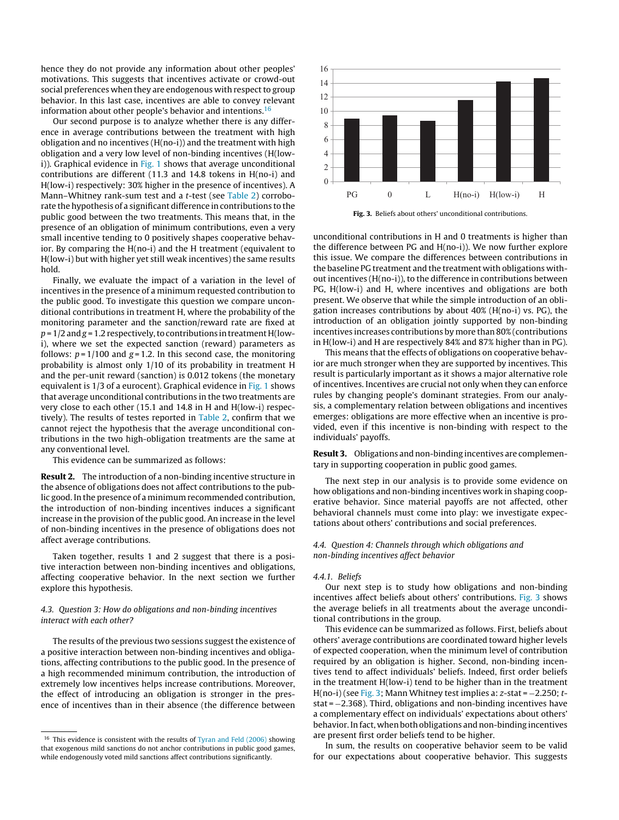hence they do not provide any information about other peoples' motivations. This suggests that incentives activate or crowd-out social preferences when they are endogenous with respect to group behavior. In this last case, incentives are able to convey relevant information about other people's behavior and intentions.<sup>16</sup>

Our second purpose is to analyze whether there is any difference in average contributions between the treatment with high obligation and no incentives (H(no-i)) and the treatment with high obligation and a very low level of non-binding incentives (H(lowi)). Graphical evidence in Fig. 1 shows that average unconditional contributions are different (11.3 and 14.8 tokens in H(no-i) and H(low-i) respectively: 30% higher in the presence of incentives). A Mann–Whitney rank-sum test and a t-test (see Table 2) corroborate the hypothesis of a significant difference in contributions to the public good between the two treatments. This means that, in the presence of an obligation of minimum contributions, even a very small incentive tending to 0 positively shapes cooperative behavior. By comparing the H(no-i) and the H treatment (equivalent to H(low-i) but with higher yet still weak incentives) the same results hold.

Finally, we evaluate the impact of a variation in the level of incentives in the presence of a minimum requested contribution to the public good. To investigate this question we compare unconditional contributions in treatment H, where the probability of the monitoring parameter and the sanction/reward rate are fixed at  $p = 1/2$  and  $g = 1.2$  respectively, to contributions in treatment H(lowi), where we set the expected sanction (reward) parameters as follows:  $p = 1/100$  and  $g = 1.2$ . In this second case, the monitoring probability is almost only 1/10 of its probability in treatment H and the per-unit reward (sanction) is 0.012 tokens (the monetary equivalent is 1/3 of a eurocent). Graphical evidence in Fig. 1 shows that average unconditional contributions in the two treatments are very close to each other (15.1 and 14.8 in H and H(low-i) respectively). The results of testes reported in Table 2, confirm that we cannot reject the hypothesis that the average unconditional contributions in the two high-obligation treatments are the same at any conventional level.

This evidence can be summarized as follows:

**Result 2.** The introduction of a non-binding incentive structure in the absence of obligations does not affect contributions to the public good. In the presence of a minimum recommended contribution, the introduction of non-binding incentives induces a significant increase in the provision of the public good. An increase in the level of non-binding incentives in the presence of obligations does not affect average contributions.

Taken together, results 1 and 2 suggest that there is a positive interaction between non-binding incentives and obligations, affecting cooperative behavior. In the next section we further explore this hypothesis.

## 4.3. Question 3: How do obligations and non-binding incentives interact with each other?

The results of the previous two sessions suggest the existence of a positive interaction between non-binding incentives and obligations, affecting contributions to the public good. In the presence of a high recommended minimum contribution, the introduction of extremely low incentives helps increase contributions. Moreover, the effect of introducing an obligation is stronger in the presence of incentives than in their absence (the difference between



**Fig. 3.** Beliefs about others' unconditional contributions.

unconditional contributions in H and 0 treatments is higher than the difference between PG and H(no-i)). We now further explore this issue. We compare the differences between contributions in the baseline PG treatment and the treatment with obligations without incentives (H(no-i)), to the difference in contributions between PG, H(low-i) and H, where incentives and obligations are both present. We observe that while the simple introduction of an obligation increases contributions by about 40% (H(no-i) vs. PG), the introduction of an obligation jointly supported by non-binding incentives increases contributions by more than 80% (contributions in H(low-i) and H are respectively 84% and 87% higher than in PG).

This means that the effects of obligations on cooperative behavior are much stronger when they are supported by incentives. This result is particularly important as it shows a major alternative role of incentives. Incentives are crucial not only when they can enforce rules by changing people's dominant strategies. From our analysis, a complementary relation between obligations and incentives emerges: obligations are more effective when an incentive is provided, even if this incentive is non-binding with respect to the individuals' payoffs.

**Result 3.** Obligations and non-binding incentives are complementary in supporting cooperation in public good games.

The next step in our analysis is to provide some evidence on how obligations and non-binding incentives work in shaping cooperative behavior. Since material payoffs are not affected, other behavioral channels must come into play: we investigate expectations about others' contributions and social preferences.

## 4.4. Question 4: Channels through which obligations and non-binding incentives affect behavior

#### 4.4.1. Beliefs

Our next step is to study how obligations and non-binding incentives affect beliefs about others' contributions. Fig. 3 shows the average beliefs in all treatments about the average unconditional contributions in the group.

This evidence can be summarized as follows. First, beliefs about others' average contributions are coordinated toward higher levels of expected cooperation, when the minimum level of contribution required by an obligation is higher. Second, non-binding incentives tend to affect individuals' beliefs. Indeed, first order beliefs in the treatment H(low-i) tend to be higher than in the treatment H(no-i) (see Fig. 3; Mann Whitney test implies a: z-stat =  $-2.250$ ; tstat = −2.368). Third, obligations and non-binding incentives have a complementary effect on individuals' expectations about others' behavior. In fact, when both obligations and non-binding incentives are present first order beliefs tend to be higher.

In sum, the results on cooperative behavior seem to be valid for our expectations about cooperative behavior. This suggests

<sup>&</sup>lt;sup>16</sup> This evidence is consistent with the results of Tyran and Feld (2006) showing that exogenous mild sanctions do not anchor contributions in public good games, while endogenously voted mild sanctions affect contributions significantly.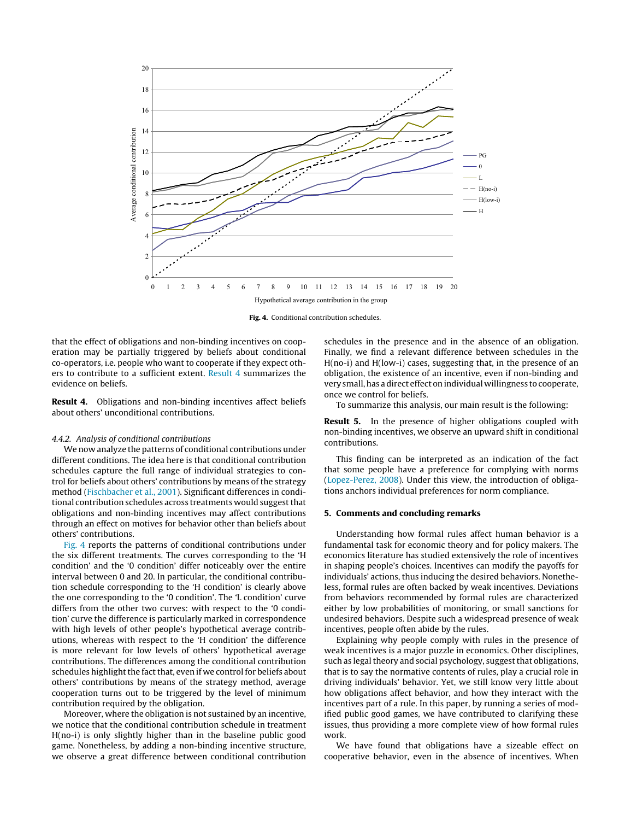

**Fig. 4.** Conditional contribution schedules.

that the effect of obligations and non-binding incentives on cooperation may be partially triggered by beliefs about conditional co-operators, i.e. people who want to cooperate if they expect others to contribute to a sufficient extent. Result 4 summarizes the evidence on beliefs.

**Result 4.** Obligations and non-binding incentives affect beliefs about others' unconditional contributions.

#### 4.4.2. Analysis of conditional contributions

We now analyze the patterns of conditional contributions under different conditions. The idea here is that conditional contribution schedules capture the full range of individual strategies to control for beliefs about others' contributions by means of the strategy method (Fischbacher et al., 2001). Significant differences in conditional contribution schedules across treatments would suggest that obligations and non-binding incentives may affect contributions through an effect on motives for behavior other than beliefs about others' contributions.

Fig. 4 reports the patterns of conditional contributions under the six different treatments. The curves corresponding to the 'H condition' and the '0 condition' differ noticeably over the entire interval between 0 and 20. In particular, the conditional contribution schedule corresponding to the 'H condition' is clearly above the one corresponding to the '0 condition'. The 'L condition' curve differs from the other two curves: with respect to the '0 condition' curve the difference is particularly marked in correspondence with high levels of other people's hypothetical average contributions, whereas with respect to the 'H condition' the difference is more relevant for low levels of others' hypothetical average contributions. The differences among the conditional contribution schedules highlight the fact that, even if we control for beliefs about others' contributions by means of the strategy method, average cooperation turns out to be triggered by the level of minimum contribution required by the obligation.

Moreover, where the obligation is not sustained by an incentive, we notice that the conditional contribution schedule in treatment H(no-i) is only slightly higher than in the baseline public good game. Nonetheless, by adding a non-binding incentive structure, we observe a great difference between conditional contribution schedules in the presence and in the absence of an obligation. Finally, we find a relevant difference between schedules in the H(no-i) and H(low-i) cases, suggesting that, in the presence of an obligation, the existence of an incentive, even if non-binding and very small, has a direct effect on individual willingness to cooperate, once we control for beliefs.

To summarize this analysis, our main result is the following:

**Result 5.** In the presence of higher obligations coupled with non-binding incentives, we observe an upward shift in conditional contributions.

This finding can be interpreted as an indication of the fact that some people have a preference for complying with norms (Lopez-Perez, 2008). Under this view, the introduction of obligations anchors individual preferences for norm compliance.

#### **5. Comments and concluding remarks**

Understanding how formal rules affect human behavior is a fundamental task for economic theory and for policy makers. The economics literature has studied extensively the role of incentives in shaping people's choices. Incentives can modify the payoffs for individuals' actions, thus inducing the desired behaviors. Nonetheless, formal rules are often backed by weak incentives. Deviations from behaviors recommended by formal rules are characterized either by low probabilities of monitoring, or small sanctions for undesired behaviors. Despite such a widespread presence of weak incentives, people often abide by the rules.

Explaining why people comply with rules in the presence of weak incentives is a major puzzle in economics. Other disciplines, such as legal theory and social psychology, suggest that obligations, that is to say the normative contents of rules, play a crucial role in driving individuals' behavior. Yet, we still know very little about how obligations affect behavior, and how they interact with the incentives part of a rule. In this paper, by running a series of modified public good games, we have contributed to clarifying these issues, thus providing a more complete view of how formal rules work.

We have found that obligations have a sizeable effect on cooperative behavior, even in the absence of incentives. When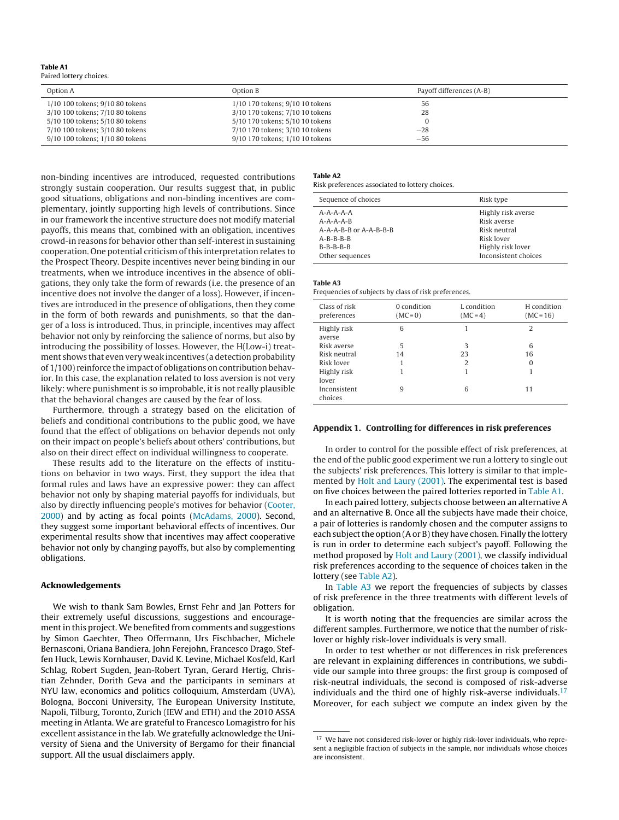| ı<br>ŀ<br>n<br>c |  |
|------------------|--|
|------------------|--|

Paired lottery choices.

| Option A                        | Option B                        | Payoff differences (A-B) |
|---------------------------------|---------------------------------|--------------------------|
| 1/10 100 tokens; 9/10 80 tokens | 1/10 170 tokens; 9/10 10 tokens | 56                       |
| 3/10 100 tokens; 7/10 80 tokens | 3/10 170 tokens; 7/10 10 tokens | 28                       |
| 5/10 100 tokens; 5/10 80 tokens | 5/10 170 tokens; 5/10 10 tokens |                          |
| 7/10 100 tokens; 3/10 80 tokens | 7/10 170 tokens; 3/10 10 tokens | $-28$                    |
| 9/10 100 tokens; 1/10 80 tokens | 9/10 170 tokens; 1/10 10 tokens | $-56$                    |

non-binding incentives are introduced, requested contributions strongly sustain cooperation. Our results suggest that, in public good situations, obligations and non-binding incentives are complementary, jointly supporting high levels of contributions. Since in our framework the incentive structure does not modify material payoffs, this means that, combined with an obligation, incentives crowd-in reasons for behavior other than self-interest in sustaining cooperation. One potential criticism of this interpretation relates to the Prospect Theory. Despite incentives never being binding in our treatments, when we introduce incentives in the absence of obligations, they only take the form of rewards (i.e. the presence of an incentive does not involve the danger of a loss). However, if incentives are introduced in the presence of obligations, then they come in the form of both rewards and punishments, so that the danger of a loss is introduced. Thus, in principle, incentives may affect behavior not only by reinforcing the salience of norms, but also by introducing the possibility of losses. However, the H(Low-i) treatment shows that even very weak incentives (a detection probability of 1/100) reinforce the impact of obligations on contribution behavior. In this case, the explanation related to loss aversion is not very likely: where punishment is so improbable, it is not really plausible that the behavioral changes are caused by the fear of loss.

Furthermore, through a strategy based on the elicitation of beliefs and conditional contributions to the public good, we have found that the effect of obligations on behavior depends not only on their impact on people's beliefs about others' contributions, but also on their direct effect on individual willingness to cooperate.

These results add to the literature on the effects of institutions on behavior in two ways. First, they support the idea that formal rules and laws have an expressive power: they can affect behavior not only by shaping material payoffs for individuals, but also by directly influencing people's motives for behavior (Cooter, 2000) and by acting as focal points (McAdams, 2000). Second, they suggest some important behavioral effects of incentives. Our experimental results show that incentives may affect cooperative behavior not only by changing payoffs, but also by complementing obligations.

#### **Acknowledgements**

We wish to thank Sam Bowles, Ernst Fehr and Jan Potters for their extremely useful discussions, suggestions and encouragement in this project. We benefited from comments and suggestions by Simon Gaechter, Theo Offermann, Urs Fischbacher, Michele Bernasconi, Oriana Bandiera, John Ferejohn, Francesco Drago, Steffen Huck, Lewis Kornhauser, David K. Levine, Michael Kosfeld, Karl Schlag, Robert Sugden, Jean-Robert Tyran, Gerard Hertig, Christian Zehnder, Dorith Geva and the participants in seminars at NYU law, economics and politics colloquium, Amsterdam (UVA), Bologna, Bocconi University, The European University Institute, Napoli, Tilburg, Toronto, Zurich (IEW and ETH) and the 2010 ASSA meeting in Atlanta. We are grateful to Francesco Lomagistro for his excellent assistance in the lab. We gratefully acknowledge the University of Siena and the University of Bergamo for their financial support. All the usual disclaimers apply.

### **Table A2**

Risk preferences associated to lottery choices.

| Sequence of choices                                                                                                | Risk type                                                                            |
|--------------------------------------------------------------------------------------------------------------------|--------------------------------------------------------------------------------------|
| $A - A - A - A - A$<br>$A - A - A - A - B$<br>$A - A - B - B$ or $A - A - B - B - B$<br>$A-B-B-B-B$<br>$B-B-B-B-B$ | Highly risk averse<br>Risk averse<br>Risk neutral<br>Risk lover<br>Highly risk lover |
| Other sequences                                                                                                    | Inconsistent choices                                                                 |

#### **Table A3**

Frequencies of subjects by class of risk preferences.

| Class of risk<br>preferences | 0 condition<br>$(MC=0)$ | L condition<br>$(MC=4)$ | H condition<br>$(MC = 16)$ |
|------------------------------|-------------------------|-------------------------|----------------------------|
| Highly risk<br>averse        | 6                       | 1                       | 2                          |
| Risk averse                  | 5                       | 3                       | 6                          |
| Risk neutral                 | 14                      | 23                      | 16                         |
| Risk lover                   |                         | 2                       | 0                          |
| Highly risk<br>lover         |                         | 1                       |                            |
| Inconsistent<br>choices      | q                       | 6                       | 11                         |

## **Appendix 1. Controlling for differences in risk preferences**

In order to control for the possible effect of risk preferences, at the end of the public good experiment we run a lottery to single out the subjects' risk preferences. This lottery is similar to that implemented by Holt and Laury (2001). The experimental test is based on five choices between the paired lotteries reported in Table A1.

In each paired lottery, subjects choose between an alternative A and an alternative B. Once all the subjects have made their choice, a pair of lotteries is randomly chosen and the computer assigns to each subject the option (A or B) they have chosen. Finally the lottery is run in order to determine each subject's payoff. Following the method proposed by Holt and Laury (2001), we classify individual risk preferences according to the sequence of choices taken in the lottery (see Table A2).

In Table A3 we report the frequencies of subjects by classes of risk preference in the three treatments with different levels of obligation.

It is worth noting that the frequencies are similar across the different samples. Furthermore, we notice that the number of risklover or highly risk-lover individuals is very small.

In order to test whether or not differences in risk preferences are relevant in explaining differences in contributions, we subdivide our sample into three groups: the first group is composed of risk-neutral individuals, the second is composed of risk-adverse individuals and the third one of highly risk-averse individuals. $17$ Moreover, for each subject we compute an index given by the

<sup>&</sup>lt;sup>17</sup> We have not considered risk-lover or highly risk-lover individuals, who represent a negligible fraction of subjects in the sample, nor individuals whose choices are inconsistent.